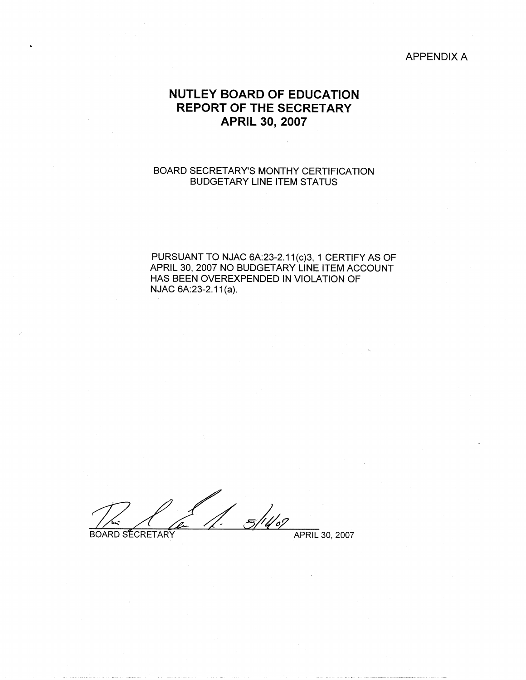# APPENDIX A

# **NUTLEY BOARD OF EDUCATION REPORT OF THE SECRETARY APRIL 30, 2007**

# BOARD SECRETARY'S MONTHY CERTIFICATION BUDGETARY LINE ITEM STATUS

PURSUANT TO NJAC 6A:23-2.11(c)3, 1 CERTIFY AS OF APRIL 30, 2007 NO BUDGETARY LINE ITEM ACCOUNT HAS BEEN OVEREXPENDED IN VIOLATION OF NJAC 6A: 23-2.11(a).

 $31402$ BOARD SECRETARY APRIL 30, 2007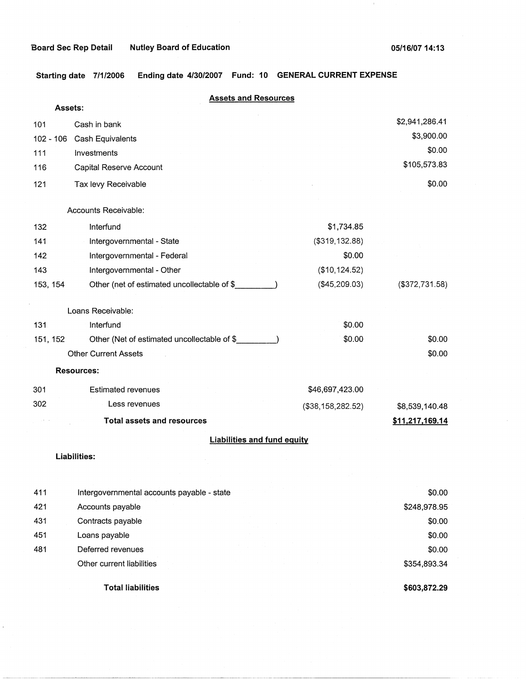**Starting date 7/1/2006 Ending date 4/30/2007 Fund: 10 GENERAL CURRENT EXPENSE** 

|           | <b>Assets and Resources</b><br>Assets:      |                   |                   |
|-----------|---------------------------------------------|-------------------|-------------------|
| 101       | Cash in bank                                |                   | \$2,941,286.41    |
| 102 - 106 | Cash Equivalents                            |                   | \$3,900.00        |
| 111       | Investments                                 |                   | \$0.00            |
| 116       | Capital Reserve Account                     |                   | \$105,573.83      |
| 121       | Tax levy Receivable                         |                   | \$0.00            |
|           | Accounts Receivable:                        |                   |                   |
| 132       | Interfund                                   | \$1,734.85        |                   |
| 141       | Intergovernmental - State                   | (\$319, 132.88)   |                   |
| 142       | Intergovernmental - Federal                 | \$0.00            |                   |
| 143       | Intergovernmental - Other                   | (\$10, 124.52)    |                   |
| 153, 154  | Other (net of estimated uncollectable of \$ | (\$45,209.03)     | $($ \$372,731.58) |
|           | Loans Receivable:                           |                   |                   |
| 131       | Interfund                                   | \$0.00            |                   |
| 151, 152  | Other (Net of estimated uncollectable of \$ | \$0.00            | \$0.00            |
|           | <b>Other Current Assets</b>                 |                   | \$0.00            |
|           | <b>Resources:</b>                           |                   |                   |
| 301       | <b>Estimated revenues</b>                   | \$46,697,423.00   |                   |
| 302       | Less revenues                               | (\$38,158,282.52) | \$8,539,140.48    |
|           | <b>Total assets and resources</b>           |                   | \$11,217,169.14   |
|           | <b>Liabilities and fund equity</b>          |                   |                   |
|           | Liabilities:                                |                   |                   |
|           |                                             |                   |                   |
| 411       | Intergovernmental accounts payable - state  |                   | \$0.00            |
| 421       | Accounts payable                            |                   | \$248,978.95      |
| 431       | Contracts payable                           |                   | \$0.00            |
| 451       | Loans payable                               |                   | \$0.00            |
| 481       | Deferred revenues                           |                   | \$0.00            |
|           | Other current liabilities                   |                   | \$354,893.34      |

**Total liabilities** 

**\$603,872.29**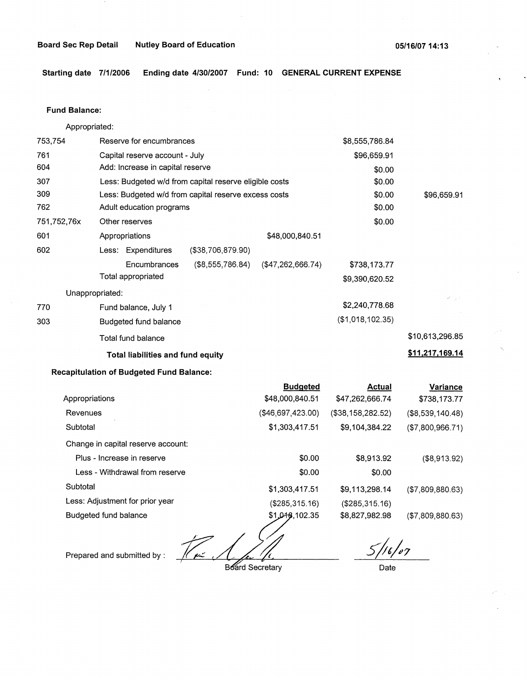**Starting date 7/1/2006 Ending date 4/30/2007 Fund: 10 GENERAL CURRENT EXPENSE** 

#### **Fund Balance:**

Appropriated:

| 753,754         | Reserve for encumbrances                               | \$8,555,786.84                     |
|-----------------|--------------------------------------------------------|------------------------------------|
| 761             | Capital reserve account - July                         | \$96,659.91                        |
| 604             | Add: Increase in capital reserve                       | \$0.00                             |
| 307             | Less: Budgeted w/d from capital reserve eligible costs | \$0.00                             |
| 309             | Less: Budgeted w/d from capital reserve excess costs   | \$0.00<br>\$96,659.91              |
| 762             | Adult education programs                               | \$0.00                             |
| 751,752,76x     | Other reserves                                         | \$0.00                             |
| 601             | Appropriations                                         | \$48,000,840.51                    |
| 602             | Less: Expenditures<br>(\$38,706,879.90)                |                                    |
|                 | Encumbrances<br>(\$8,555,786.84)                       | ( \$47,262,666.74)<br>\$738,173.77 |
|                 | Total appropriated                                     | \$9,390,620.52                     |
| Unappropriated: |                                                        | Kingert                            |
| 770             | Fund balance, July 1                                   | \$2,240,778.68                     |
| 303             | Budgeted fund balance                                  | (\$1,018,102.35)                   |
|                 | Total fund balance                                     | \$10,613,296.85                    |
|                 | Total liabilities and fund equity                      | \$11,217,169.14                    |

# **Recapitulation of Budgeted Fund Balance:**

|                                    | <b>Budgeted</b>   | <b>Actual</b>     | Variance           |
|------------------------------------|-------------------|-------------------|--------------------|
| Appropriations                     | \$48,000,840.51   | \$47,262,666.74   | \$738,173.77       |
| Revenues                           | (\$46,697,423.00) | (\$38,158,282.52) | $(\$8,539,140.48)$ |
| Subtotal                           | \$1,303,417.51    | \$9,104,384.22    | (\$7,800,966.71)   |
| Change in capital reserve account: |                   |                   |                    |
| Plus - Increase in reserve         | \$0.00            | \$8,913.92        | (\$8,913.92)       |
| Less - Withdrawal from reserve     | \$0.00            | \$0.00            |                    |
| Subtotal                           | \$1,303,417.51    | \$9,113,298.14    | (\$7,809,880.63)   |
| Less: Adjustment for prior year    | (\$285,315.16)    | (\$285,315.16)    |                    |
| Budgeted fund balance              | \$1,048,102.35    | \$8,827,982.98    | (\$7,809,880.63)   |
|                                    |                   |                   |                    |

Prepared and submitted by :  $\frac{1}{\sqrt{1-\frac{1}{1-\frac{1}{1-\frac{1}{1-\frac{1}{1-\frac{1}{1-\frac{1}{1-\frac{1}{1-\frac{1}{1-\frac{1}{1-\frac{1}{1-\frac{1}{1-\frac{1}{1-\frac{1}{1-\frac{1}{1-\frac{1}{1-\frac{1}{1-\frac{1}{1-\frac{1}{1-\frac{1}{1-\frac{1}{1-\frac{1}{1-\frac{1}{1-\frac{1}{1-\frac{1}{1-\frac{1}{1-\frac{1}{1-\frac{1}{1-\frac{1}{1-\frac{1}{1-\frac{1}{1-\frac{1$ 

Date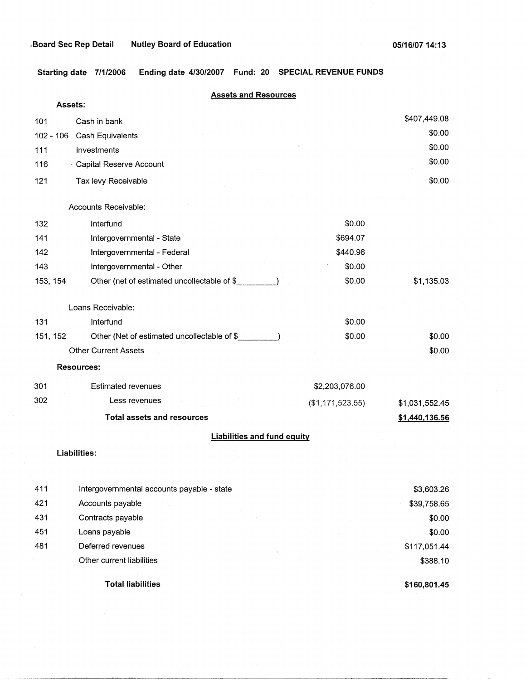**Starting date 7/1/2006 Ending date 4/30/2007 Fund: 20 SPECIAL REVENUE FUNDS** 

|             | <b>Assets and Resources</b><br>Assets:      |                  |                |
|-------------|---------------------------------------------|------------------|----------------|
| 101         | Cash in bank                                |                  | \$407,449.08   |
| $102 - 106$ | Cash Equivalents                            |                  | \$0.00         |
| 111         | Investments                                 |                  | \$0.00         |
| 116         | <b>Capital Reserve Account</b>              |                  | \$0.00         |
| 121         | Tax levy Receivable                         |                  | \$0.00         |
|             | Accounts Receivable:                        |                  |                |
| 132         | Interfund                                   | \$0.00           |                |
| 141         | Intergovernmental - State                   | \$694.07         |                |
| 142         | Intergovernmental - Federal                 | \$440.96         |                |
| 143         | Intergovernmental - Other                   | \$0.00           |                |
| 153, 154    | Other (net of estimated uncollectable of \$ | \$0.00           | \$1,135.03     |
|             | Loans Receivable:                           |                  |                |
| 131         | Interfund                                   | \$0.00           |                |
| 151, 152    | Other (Net of estimated uncollectable of \$ | \$0.00           | \$0.00         |
|             | <b>Other Current Assets</b>                 |                  | \$0.00         |
|             | <b>Resources:</b>                           |                  |                |
| 301         | <b>Estimated revenues</b>                   | \$2,203,076.00   |                |
| 302         | Less revenues                               | (\$1,171,523.55) | \$1,031,552.45 |
|             | <b>Total assets and resources</b>           |                  | \$1,440,136.56 |
|             | <b>Liabilities and fund equity</b>          |                  |                |
|             | Liabilities:                                |                  |                |
| 411         | Intergovernmental accounts payable - state  |                  | \$3,603.26     |
| 421         | Accounts payable                            |                  | \$39,758.65    |
| 431         | Contracts payable                           |                  | \$0.00         |
| 451         | Loans payable                               |                  | \$0.00         |
| 481         | Deferred revenues                           |                  | \$117,051.44   |
|             | Other current liabilities                   |                  | \$388.10       |
|             |                                             |                  |                |

**Total liabilities** 

**\$160,801.45**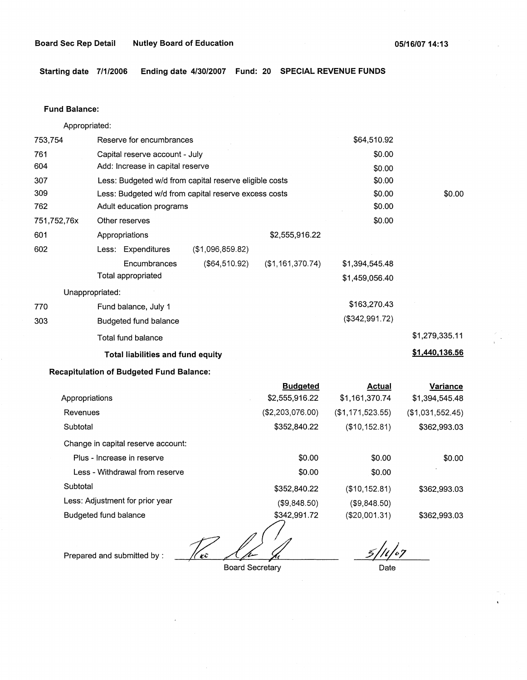**Starting date 7/1/2006 Ending date 4/30/2007 Fund: 20 SPECIAL REVENUE FUNDS** 

#### **Fund Balance:**

753,754 761 604 Appropriated: Reserve for encumbrances Capital reserve account - July Add: Increase in capital reserve 307 309 762 751,752,76x 601 Less: Budgeted w/d from capital reserve eligible costs Less: Budgeted w/d from capital reserve excess costs Adult education programs 602 770 303 Other reserves Appropriations Less: Expenditures **Encumbrances** Total appropriated Unappropriated: Fund balance, July 1 Budgeted fund balance Total fund balance (\$1,096,859.82) (\$64,510.92) \$2,555,916.22 (\$1,161,370.74) **Total liabilities and fund equity**  \$64,510.92 \$0.00 \$0.00 \$0.00 \$0.00 \$0.00 \$0.00 \$1,394,545.48 \$1,459,056.40 \$163,270.43 (\$342,991.72) \$0.00 \$1,279,335.11 **\$1,440. 136.56** 

#### **Recapitulation of Budgeted Fund Balance:**

| <b>Budgeted</b>  | <b>Actual</b>    | Variance         |
|------------------|------------------|------------------|
| \$2,555,916.22   | \$1,161,370.74   | \$1,394,545.48   |
| (\$2,203,076.00) | (\$1,171,523.55) | (\$1,031,552.45) |
| \$352,840.22     | (\$10,152.81)    | \$362,993.03     |
|                  |                  |                  |
| \$0.00           | \$0.00           | \$0.00           |
| \$0.00           | \$0.00           |                  |
| \$352,840.22     | (\$10, 152.81)   | \$362,993.03     |
| (\$9,848.50)     | ( \$9,848.50)    |                  |
| \$342,991.72     | (\$20,001.31)    | \$362,993.03     |
|                  |                  |                  |

Prepared and submitted by :  $\sqrt{\epsilon}$  ,  $\sqrt{\epsilon}$ 

Board Secretary

*5/f~~7* 

Date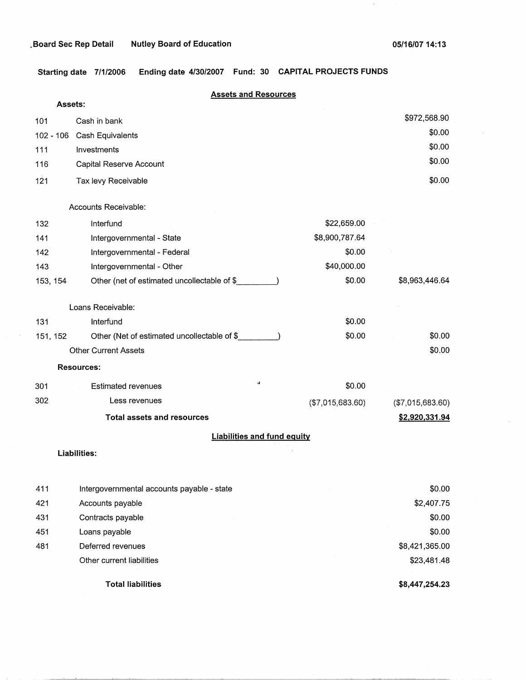$\bar{1}$ 

**Starting date 7/1/2006 Ending date 4/30/2007 Fund: 30 CAPITAL PROJECTS FUNDS** 

| Assets:   | <b>Assets and Resources</b>                 |                  |                  |
|-----------|---------------------------------------------|------------------|------------------|
| 101       | Cash in bank                                |                  | \$972,568.90     |
| 102 - 106 | Cash Equivalents                            |                  | \$0.00           |
| 111       | Investments                                 |                  | \$0.00           |
| 116       | Capital Reserve Account                     |                  | \$0.00           |
| 121       | Tax levy Receivable                         |                  | \$0.00           |
|           | Accounts Receivable:                        |                  |                  |
| 132       | Interfund                                   | \$22,659.00      |                  |
| 141       | Intergovernmental - State                   | \$8,900,787.64   |                  |
| 142       | Intergovernmental - Federal                 | \$0.00           |                  |
| 143       | Intergovernmental - Other                   | \$40,000.00      |                  |
| 153, 154  | Other (net of estimated uncollectable of \$ | \$0.00           | \$8,963,446.64   |
|           | Loans Receivable:                           |                  |                  |
| 131       | Interfund                                   | \$0.00           |                  |
| 151, 152  | Other (Net of estimated uncollectable of \$ | \$0.00           | \$0.00           |
|           | <b>Other Current Assets</b>                 |                  | \$0.00           |
|           | <b>Resources:</b>                           |                  |                  |
| 301       | <b>Estimated revenues</b>                   | \$0.00           |                  |
| 302       | Less revenues                               | (\$7,015,683.60) | (\$7,015,683.60) |
|           | <b>Total assets and resources</b>           |                  | \$2,920,331.94   |
|           | <b>Liabilities and fund equity</b>          |                  |                  |
|           | Liabilities:                                |                  |                  |
|           |                                             |                  |                  |
| 411       | Intergovernmental accounts payable - state  |                  | \$0.00           |
| 421       | Accounts payable                            |                  | \$2,407.75       |
| 431       | Contracts payable                           |                  | \$0.00           |
| 451       | Loans payable                               |                  | \$0.00           |
| 481       | Deferred revenues                           |                  | \$8,421,365.00   |
|           | Other current liabilities                   |                  | \$23,481.48      |

**Total liabilities** 

**\$8,447,254.23**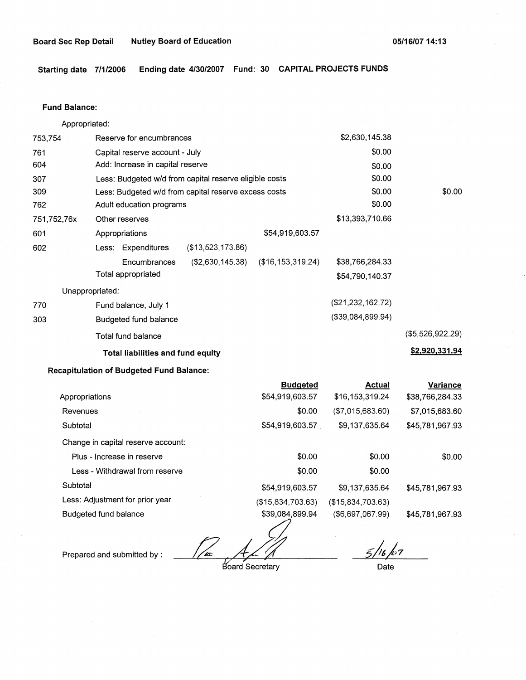**Starting date 7/1/2006 Ending date 4/30/2007 Fund: 30 CAPITAL PROJECTS FUNDS** 

#### **Fund Balance:**

Appropriated:

| 753,754         |                                | Reserve for encumbrances                 |                                                        |                     | \$2,630,145.38       |                  |
|-----------------|--------------------------------|------------------------------------------|--------------------------------------------------------|---------------------|----------------------|------------------|
| 761             | Capital reserve account - July |                                          |                                                        |                     | \$0.00               |                  |
| 604             |                                | Add: Increase in capital reserve         |                                                        |                     | \$0.00               |                  |
| 307             |                                |                                          | Less: Budgeted w/d from capital reserve eligible costs |                     | \$0.00               |                  |
| 309             |                                |                                          | Less: Budgeted w/d from capital reserve excess costs   |                     | \$0.00               | \$0.00           |
| 762             |                                | Adult education programs                 |                                                        |                     | \$0.00               |                  |
| 751,752,76x     |                                | Other reserves                           |                                                        |                     | \$13,393,710.66      |                  |
| 601             |                                | Appropriations                           |                                                        | \$54,919,603.57     |                      |                  |
| 602             |                                | Less: Expenditures                       | (\$13,523,173.86)                                      |                     |                      |                  |
|                 |                                | Encumbrances                             | $($ \$2,630,145.38)                                    | (\$16, 153, 319.24) | \$38,766,284.33      |                  |
|                 |                                | Total appropriated                       |                                                        |                     | \$54,790,140.37      |                  |
| Unappropriated: |                                |                                          |                                                        |                     |                      |                  |
| 770             |                                | Fund balance, July 1                     |                                                        |                     | (\$21,232,162.72)    |                  |
| 303             |                                | Budgeted fund balance                    |                                                        |                     | $($ \$39,084,899,94) |                  |
|                 |                                | Total fund balance                       |                                                        |                     |                      | (\$5,526,922.29) |
|                 |                                | <b>Total liabilities and fund equity</b> |                                                        |                     |                      | \$2,920,331.94   |

# **Recapitulation of Budgeted Fund Balance:**

|                                    | <b>Budgeted</b>   | Actual            | Variance        |
|------------------------------------|-------------------|-------------------|-----------------|
| Appropriations                     | \$54,919,603.57   | \$16,153,319.24   | \$38,766,284.33 |
| Revenues                           | \$0.00            | ( \$7,015,683.60) | \$7,015,683.60  |
| Subtotal                           | \$54,919,603.57   | \$9,137,635.64    | \$45,781,967.93 |
| Change in capital reserve account: |                   |                   |                 |
| Plus - Increase in reserve         | \$0.00            | \$0.00            | \$0.00          |
| Less - Withdrawal from reserve     | \$0.00            | \$0.00            |                 |
| Subtotal                           | \$54,919,603.57   | \$9,137,635.64    | \$45,781,967.93 |
| Less: Adjustment for prior year    | (\$15,834,703.63) | (\$15,834,703.63) |                 |
| Budgeted fund balance              | \$39,084,899.94   | (\$6,697,067.99)  | \$45,781,967.93 |

www.<br> *ad Alla*<br>
Board Secretary

*5/4),7* ' Date

Prepared and submitted by :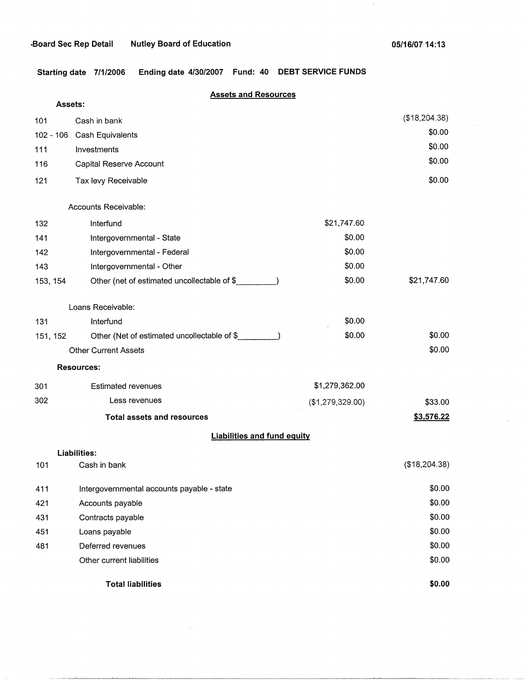**Starting date 7/1/2006 Ending date 4/30/2007 Fund: 40 DEBT SERVICE FUNDS** 

|          | <b>Assets and Resources</b>                 |                  |               |
|----------|---------------------------------------------|------------------|---------------|
| Assets:  |                                             |                  |               |
| 101      | Cash in bank                                |                  | (\$18,204.38) |
|          | 102 - 106 Cash Equivalents                  |                  | \$0.00        |
| 111      | Investments                                 |                  | \$0.00        |
| 116      | Capital Reserve Account                     |                  | \$0.00        |
| 121      | Tax levy Receivable                         |                  | \$0.00        |
|          | Accounts Receivable:                        |                  |               |
| 132      | Interfund                                   | \$21,747.60      |               |
| 141      | Intergovernmental - State                   | \$0.00           |               |
| 142      | Intergovernmental - Federal                 | \$0.00           |               |
| 143      | Intergovernmental - Other                   | \$0.00           |               |
| 153, 154 | Other (net of estimated uncollectable of \$ | \$0.00           | \$21,747.60   |
|          | Loans Receivable:                           |                  |               |
| 131      | Interfund                                   | \$0.00           |               |
| 151, 152 | Other (Net of estimated uncollectable of \$ | \$0.00           | \$0.00        |
|          | <b>Other Current Assets</b>                 |                  | \$0.00        |
|          | <b>Resources:</b>                           |                  |               |
| 301      | <b>Estimated revenues</b>                   | \$1,279,362.00   |               |
| 302      | Less revenues                               | (\$1,279,329.00) | \$33.00       |
|          | <b>Total assets and resources</b>           |                  | \$3,576.22    |
|          | <b>Liabilities and fund equity</b>          |                  |               |
|          | Liabilities:                                |                  |               |
| 101      | Cash in bank                                |                  | (\$18,204.38) |
| 411      | Intergovernmental accounts payable - state  |                  | \$0.00        |
| 421      | Accounts payable                            |                  | \$0.00        |
| 431      | Contracts payable                           |                  | \$0.00        |
| 451      | Loans payable                               |                  | \$0.00        |
| 481      | Deferred revenues                           |                  | \$0.00        |
|          | Other current liabilities                   |                  | \$0.00        |
|          | <b>Total liabilities</b>                    |                  | \$0.00        |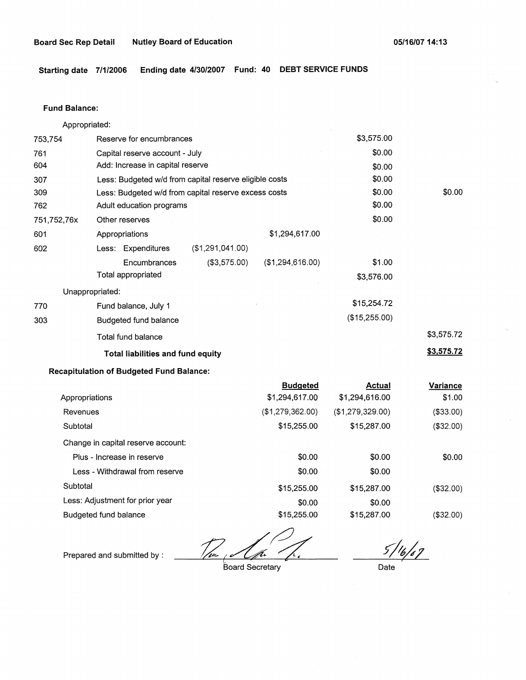**Starting date 7/1/2006 Ending date 4/30/2007 Fund: 40 DEBT SERVICE FUNDS** 

#### **Fund Balance:**

Appropriated:

| 753,754         | Reserve for encumbrances                               |                  |                  | \$3,575.00    |            |
|-----------------|--------------------------------------------------------|------------------|------------------|---------------|------------|
| 761             | Capital reserve account - July                         |                  | \$0.00           |               |            |
| 604             | Add: Increase in capital reserve                       |                  |                  | \$0.00        |            |
| 307             | Less: Budgeted w/d from capital reserve eligible costs |                  |                  | \$0.00        |            |
| 309             | Less: Budgeted w/d from capital reserve excess costs   |                  |                  | \$0.00        | \$0.00     |
| 762             | Adult education programs                               |                  |                  | \$0.00        |            |
| 751,752,76x     | Other reserves                                         |                  |                  | \$0.00        |            |
| 601             | Appropriations                                         |                  | \$1,294,617.00   |               |            |
| 602             | Less: Expenditures                                     | (\$1,291,041.00) |                  |               |            |
|                 | Encumbrances                                           | (\$3,575.00)     | (\$1,294,616.00) | \$1.00        |            |
|                 | Total appropriated                                     |                  |                  | \$3,576.00    |            |
| Unappropriated: |                                                        |                  |                  |               |            |
| 770             | Fund balance, July 1                                   |                  |                  | \$15,254.72   |            |
| 303             | Budgeted fund balance                                  |                  |                  | (\$15,255.00) |            |
|                 | Total fund balance                                     |                  |                  |               | \$3,575.72 |
|                 | <b>Total liabilities and fund equity</b>               |                  |                  |               | \$3,575.72 |

# **Recapitulation of Budgeted Fund Balance:**

Prepared and submitted by :

|                                    | <b>Budgeted</b>  | <b>Actual</b>    | Variance  |
|------------------------------------|------------------|------------------|-----------|
| Appropriations                     | \$1,294,617.00   | \$1,294,616.00   | \$1.00    |
| Revenues                           | (\$1,279,362.00) | (\$1,279,329.00) | (\$33.00) |
| Subtotal                           | \$15,255.00      | \$15,287.00      | (\$32.00) |
| Change in capital reserve account: |                  |                  |           |
| Plus - Increase in reserve         | \$0.00           | \$0.00           | \$0.00    |
| Less - Withdrawal from reserve     | \$0.00           | \$0.00           |           |
| Subtotal                           | \$15,255.00      | \$15,287.00      | (\$32.00) |
| Less: Adjustment for prior year    | \$0.00           | \$0.00           |           |
| Budgeted fund balance              | \$15,255,00      | \$15,287.00      | (\$32.00) |

 $\frac{1}{\sqrt{1-\frac{1}{1-\epsilon^2}}}$ Board Secretary

 $5/16/67$ 

Date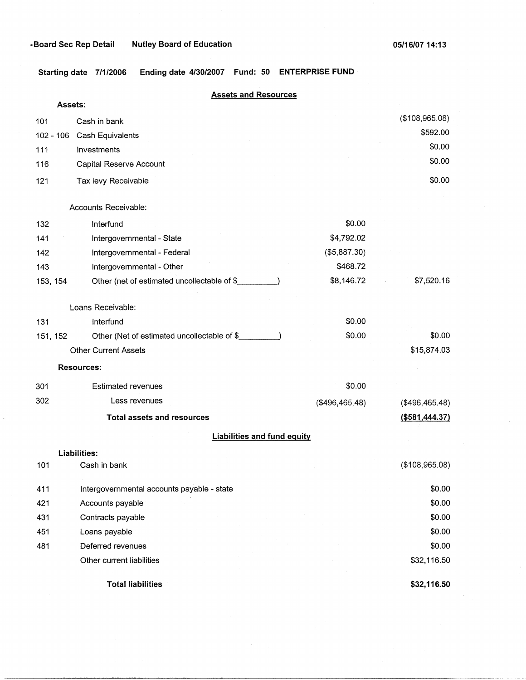**Starting date 7/1/2006 Ending date 4/30/2007 Fund: 50 ENTERPRISE FUND** 

|     |             | <b>Assets and Resources</b>                  |                |                            |
|-----|-------------|----------------------------------------------|----------------|----------------------------|
|     | Assets:     |                                              |                |                            |
| 101 |             | Cash in bank                                 |                | (\$108,965.08)<br>\$592.00 |
|     | $102 - 106$ | Cash Equivalents                             |                | \$0.00                     |
| 111 |             | Investments                                  |                | \$0.00                     |
| 116 |             | Capital Reserve Account                      |                |                            |
| 121 |             | Tax levy Receivable                          |                | \$0.00                     |
|     |             | Accounts Receivable:                         |                |                            |
| 132 |             | Interfund                                    | \$0.00         |                            |
| 141 |             | Intergovernmental - State                    | \$4,792.02     |                            |
| 142 |             | Intergovernmental - Federal                  | (\$5,887.30)   |                            |
| 143 |             | Intergovernmental - Other                    | \$468.72       |                            |
|     | 153, 154    | Other (net of estimated uncollectable of \$  | \$8,146.72     | \$7,520.16                 |
|     |             | Loans Receivable:                            |                |                            |
| 131 |             | Interfund                                    | \$0.00         |                            |
|     | 151, 152    | Other (Net of estimated uncollectable of \$_ | \$0.00         | \$0.00                     |
|     |             | <b>Other Current Assets</b>                  |                | \$15,874.03                |
|     |             | <b>Resources:</b>                            |                |                            |
| 301 |             | <b>Estimated revenues</b>                    | \$0.00         |                            |
| 302 |             | Less revenues                                | (\$496,465.48) | (\$496,465.48)             |
|     |             | <b>Total assets and resources</b>            |                | $($ \$581,444.37)          |
|     |             | <b>Liabilities and fund equity</b>           |                |                            |
|     |             | Liabilities:                                 |                |                            |
| 101 |             | Cash in bank                                 |                | (\$108,965.08)             |
| 411 |             | Intergovernmental accounts payable - state   |                | \$0.00                     |
| 421 |             | Accounts payable                             |                | \$0.00                     |
| 431 |             | Contracts payable                            |                | \$0.00                     |
| 451 |             | Loans payable                                |                | \$0.00                     |
| 481 |             | Deferred revenues                            |                | \$0.00                     |
|     |             | Other current liabilities                    |                | \$32,116.50                |
|     |             | <b>Total liabilities</b>                     |                | \$32,116.50                |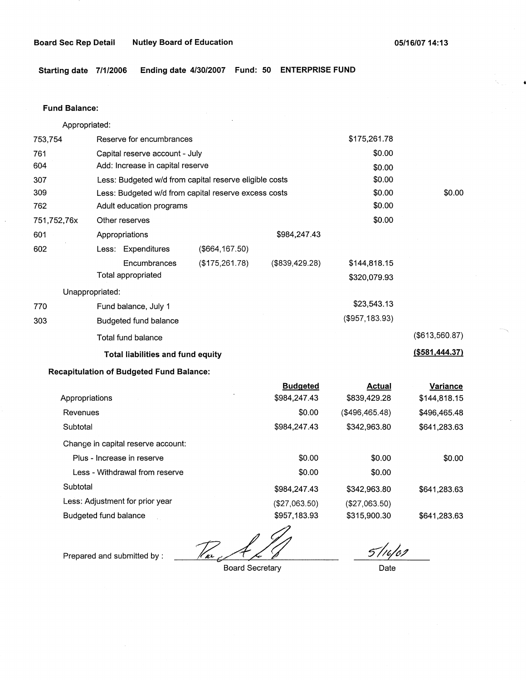**Starting date 7/1/2006 Ending date 4/30/2007 Fund: 50 ENTERPRISE FUND** 

#### **Fund Balance:**

|                                          | Appropriated:                                          |                                  |                 |                   |                   |
|------------------------------------------|--------------------------------------------------------|----------------------------------|-----------------|-------------------|-------------------|
| 753,754                                  | Reserve for encumbrances                               |                                  | \$175,261.78    |                   |                   |
| 761                                      |                                                        | Capital reserve account - July   |                 |                   |                   |
| 604                                      |                                                        | Add: Increase in capital reserve |                 |                   |                   |
| 307                                      | Less: Budgeted w/d from capital reserve eligible costs |                                  |                 | \$0.00            |                   |
| 309                                      | Less: Budgeted w/d from capital reserve excess costs   |                                  |                 | \$0.00            | \$0.00            |
| 762                                      | Adult education programs                               |                                  |                 | \$0.00            |                   |
| 751,752,76x                              | Other reserves                                         |                                  |                 | \$0.00            |                   |
| 601                                      | Appropriations                                         |                                  | \$984,247.43    |                   |                   |
| 602                                      | Less: Expenditures                                     | $($ \$664,167.50)                |                 |                   |                   |
|                                          | Encumbrances                                           | (\$175, 261.78)                  | (\$839,429.28)  | \$144,818.15      |                   |
|                                          | Total appropriated                                     |                                  |                 | \$320,079.93      |                   |
|                                          | Unappropriated:                                        |                                  |                 |                   |                   |
| 770                                      | Fund balance, July 1                                   |                                  |                 | \$23,543.13       |                   |
| 303                                      | Budgeted fund balance                                  |                                  |                 | $($ \$957,183.93) |                   |
|                                          | Total fund balance                                     |                                  |                 |                   | (\$613,560.87)    |
| <b>Total liabilities and fund equity</b> |                                                        |                                  |                 |                   | $($ \$581,444.37) |
|                                          | <b>Recapitulation of Budgeted Fund Balance:</b>        |                                  |                 |                   |                   |
|                                          |                                                        |                                  | <b>Budgeted</b> | <b>Actual</b>     | Variance          |
| Appropriations                           |                                                        |                                  | \$984,247.43    | \$839,429.28      | \$144,818.15      |
| Revenues                                 |                                                        |                                  | \$0.00          | (\$496,465.48)    | \$496,465.48      |
| Subtotal                                 |                                                        |                                  | \$984,247.43    | \$342,963.80      | \$641,283.63      |
|                                          | Change in capital reserve account:                     |                                  |                 |                   |                   |
| Plus - Increase in reserve               |                                                        |                                  | \$0.00          | \$0.00            | \$0.00            |
| Less - Withdrawal from reserve           |                                                        |                                  | \$0.00          | \$0.00            |                   |
| Subtotal                                 |                                                        |                                  | \$984,247.43    | \$342,963.80      | \$641,283.63      |
| Less: Adjustment for prior year          |                                                        |                                  | (\$27,063.50)   | (\$27,063.50)     |                   |

Budgeted fund balance

 $\mathbb{Z}_{q}$ 

\$957, 183.93

Prepared and submitted by :

Board Secretary

 $5116/00$ 

\$641,283.63

Date

\$315,900.30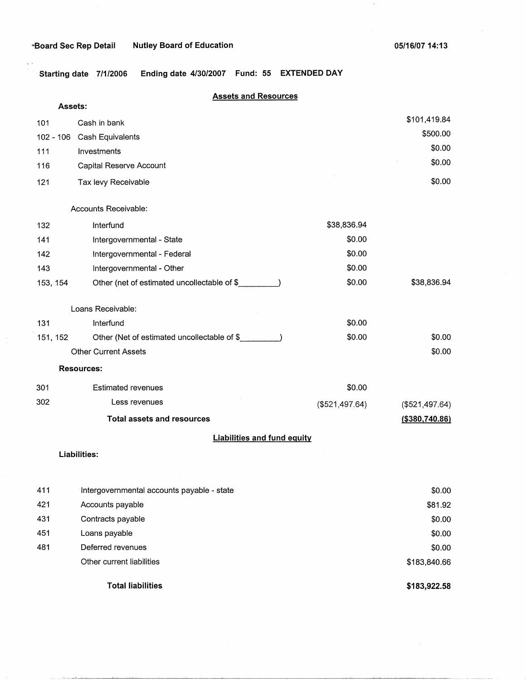$\cdot$ 

**Starting date 7/1/2006 Ending date 4/30/2007 Fund: 55 EXTENDED DAY** 

# **Assets and Resources**

| Assets:                            |                                             |                |                   |  |  |  |
|------------------------------------|---------------------------------------------|----------------|-------------------|--|--|--|
| 101                                | Cash in bank                                |                | \$101,419.84      |  |  |  |
| 102 - 106                          | Cash Equivalents                            |                | \$500.00          |  |  |  |
| 111                                | Investments                                 |                | \$0.00            |  |  |  |
| 116                                | Capital Reserve Account                     |                | \$0.00            |  |  |  |
| 121                                | Tax levy Receivable                         |                | \$0.00            |  |  |  |
|                                    |                                             |                |                   |  |  |  |
|                                    | Accounts Receivable:                        |                |                   |  |  |  |
| 132                                | Interfund                                   | \$38,836.94    |                   |  |  |  |
| 141                                | Intergovernmental - State                   | \$0.00         |                   |  |  |  |
| 142                                | Intergovernmental - Federal                 | \$0.00         |                   |  |  |  |
| 143                                | Intergovernmental - Other                   | \$0.00         |                   |  |  |  |
| 153, 154                           | Other (net of estimated uncollectable of \$ | \$0.00         | \$38,836.94       |  |  |  |
|                                    | Loans Receivable:                           |                |                   |  |  |  |
| 131                                | Interfund                                   | \$0.00         |                   |  |  |  |
| 151, 152                           | Other (Net of estimated uncollectable of \$ | \$0.00         | \$0.00            |  |  |  |
|                                    | <b>Other Current Assets</b>                 |                | \$0.00            |  |  |  |
| <b>Resources:</b>                  |                                             |                |                   |  |  |  |
| 301                                | <b>Estimated revenues</b>                   | \$0.00         |                   |  |  |  |
| 302                                | Less revenues                               | (\$521,497.64) | (\$521,497.64)    |  |  |  |
|                                    | <b>Total assets and resources</b>           |                | $($ \$380,740.86) |  |  |  |
| <b>Liabilities and fund equity</b> |                                             |                |                   |  |  |  |
|                                    | Liabilities:                                |                |                   |  |  |  |
|                                    |                                             |                |                   |  |  |  |
| 411                                | Intergovernmental accounts payable - state  |                | \$0.00            |  |  |  |
| 421                                | Accounts payable                            |                | \$81.92           |  |  |  |
| 431                                | Contracts payable                           |                | \$0.00            |  |  |  |
| 451                                | Loans payable                               |                | \$0.00            |  |  |  |
| 481                                | Deferred revenues                           |                | \$0.00            |  |  |  |
|                                    | Other current liabilities                   |                | \$183,840.66      |  |  |  |
|                                    |                                             |                |                   |  |  |  |

**Total liabilities** 

**\$183,922.58**